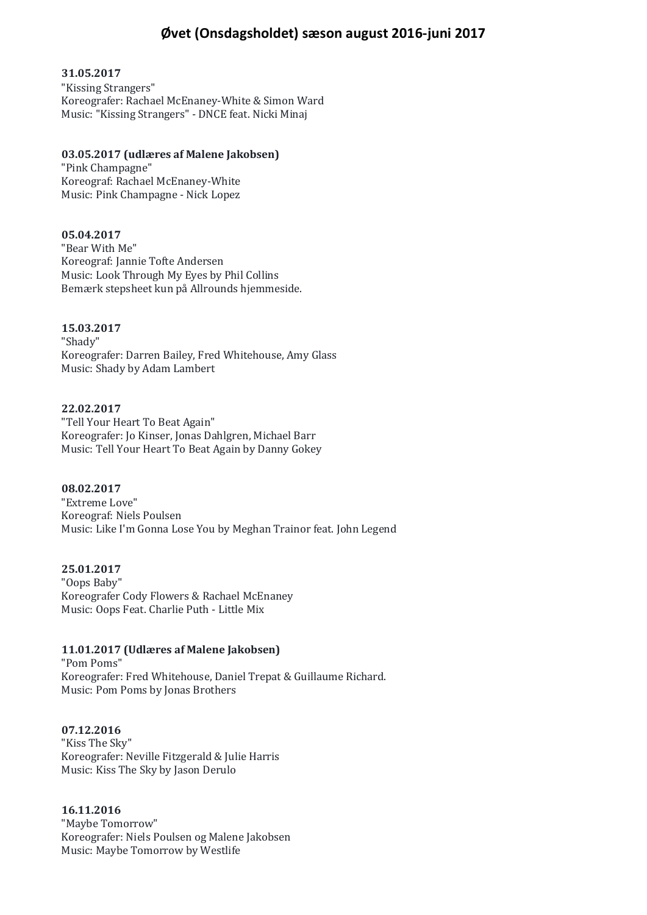# **Øvet (Onsdagsholdet) sæson august 2016-juni 2017**

### **31.05.2017**

"Kissing Strangers" Koreografer: Rachael McEnaney-White & Simon Ward Music: "Kissing Strangers" - DNCE feat. Nicki Minaj

### **03.05.2017 (udlæres af Malene Jakobsen)**

"Pink Champagne" Koreograf: Rachael McEnaney-White Music: Pink Champagne - Nick Lopez

# **05.04.2017**

"Bear With Me" Koreograf: Jannie Tofte Andersen Music: Look Through My Eyes by Phil Collins Bemærk stepsheet kun på Allrounds hjemmeside.

### **15.03.2017**

"Shady" Koreografer: Darren Bailey, Fred Whitehouse, Amy Glass Music: Shady by Adam Lambert

#### **22.02.2017**

"Tell Your Heart To Beat Again" Koreografer: Jo Kinser, Jonas Dahlgren, Michael Barr Music: Tell Your Heart To Beat Again by Danny Gokey

### **08.02.2017**

"Extreme Love" Koreograf: Niels Poulsen Music: Like I'm Gonna Lose You by Meghan Trainor feat. John Legend

#### **25.01.2017**

"Oops Baby" Koreografer Cody Flowers & Rachael McEnaney Music: Oops Feat. Charlie Puth - Little Mix

# **11.01.2017 (Udlæres af Malene Jakobsen)**

"Pom Poms" Koreografer: Fred Whitehouse, Daniel Trepat & Guillaume Richard. Music: Pom Poms by Jonas Brothers

#### **07.12.2016**

"Kiss The Sky" Koreografer: Neville Fitzgerald & Julie Harris Music: Kiss The Sky by Jason Derulo

# **16.11.2016**

"Maybe Tomorrow" Koreografer: Niels Poulsen og Malene Jakobsen Music: Maybe Tomorrow by Westlife